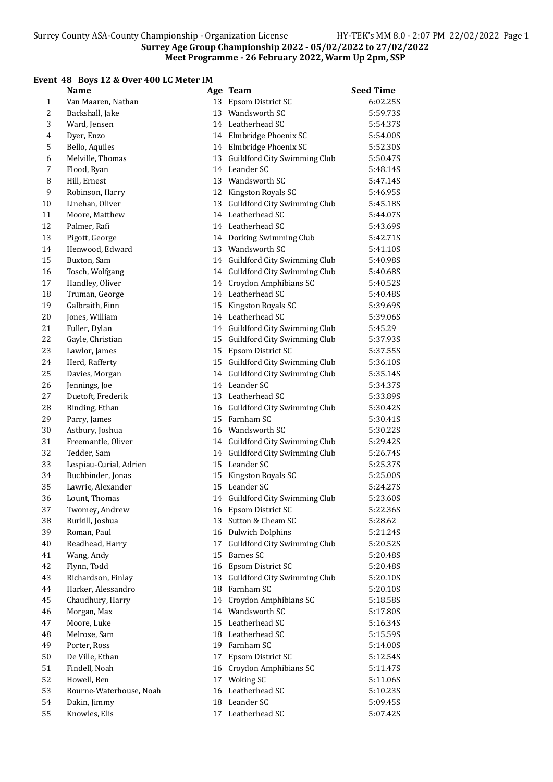#### Surrey Age Group Championship 2022 - 05/02/2022 to 27/02/2022 Meet Programme - 26 February 2022, Warm Up 2pm, SSP

## Event 48 Boys 12 & Over 400 LC Meter IM

|              | <b>Name</b>             |    | Age Team                        | <b>Seed Time</b> |
|--------------|-------------------------|----|---------------------------------|------------------|
| $\mathbf{1}$ | Van Maaren, Nathan      |    | 13 Epsom District SC            | 6:02.25S         |
| 2            | Backshall, Jake         |    | 13 Wandsworth SC                | 5:59.73S         |
| 3            | Ward, Jensen            |    | 14 Leatherhead SC               | 5:54.37S         |
| 4            | Dyer, Enzo              |    | 14 Elmbridge Phoenix SC         | 5:54.00S         |
| 5            | Bello, Aquiles          |    | 14 Elmbridge Phoenix SC         | 5:52.30S         |
| 6            | Melville, Thomas        |    | 13 Guildford City Swimming Club | 5:50.47S         |
| 7            | Flood, Ryan             |    | 14 Leander SC                   | 5:48.14S         |
| 8            | Hill, Ernest            |    | 13 Wandsworth SC                | 5:47.14S         |
| 9            | Robinson, Harry         |    | 12 Kingston Royals SC           | 5:46.95S         |
| 10           | Linehan, Oliver         |    | 13 Guildford City Swimming Club | 5:45.18S         |
| 11           | Moore, Matthew          |    | 14 Leatherhead SC               | 5:44.07S         |
| 12           | Palmer, Rafi            |    | 14 Leatherhead SC               | 5:43.69S         |
| 13           | Pigott, George          |    | 14 Dorking Swimming Club        | 5:42.71S         |
| 14           | Henwood, Edward         |    | 13 Wandsworth SC                | 5:41.10S         |
| 15           | Buxton, Sam             |    | 14 Guildford City Swimming Club | 5:40.98S         |
| 16           | Tosch, Wolfgang         |    | 14 Guildford City Swimming Club | 5:40.68S         |
| $17\,$       | Handley, Oliver         |    | 14 Croydon Amphibians SC        | 5:40.52S         |
| 18           | Truman, George          |    | 14 Leatherhead SC               | 5:40.48S         |
| 19           | Galbraith, Finn         | 15 | Kingston Royals SC              | 5:39.69S         |
| $20\,$       | Jones, William          |    | 14 Leatherhead SC               | 5:39.06S         |
| 21           | Fuller, Dylan           |    | 14 Guildford City Swimming Club | 5:45.29          |
| 22           | Gayle, Christian        | 15 | Guildford City Swimming Club    | 5:37.93S         |
| 23           | Lawlor, James           | 15 | Epsom District SC               | 5:37.55S         |
| 24           | Herd, Rafferty          |    | 15 Guildford City Swimming Club | 5:36.10S         |
| 25           | Davies, Morgan          | 14 | Guildford City Swimming Club    | 5:35.14S         |
| 26           | Jennings, Joe           |    | 14 Leander SC                   | 5:34.37S         |
| 27           | Duetoft, Frederik       | 13 | Leatherhead SC                  | 5:33.89S         |
| 28           | Binding, Ethan          |    | 16 Guildford City Swimming Club | 5:30.42S         |
| 29           | Parry, James            | 15 | Farnham SC                      | 5:30.41S         |
| 30           | Astbury, Joshua         |    | 16 Wandsworth SC                | 5:30.22S         |
| 31           | Freemantle, Oliver      |    | 14 Guildford City Swimming Club | 5:29.42S         |
| 32           | Tedder, Sam             |    | 14 Guildford City Swimming Club | 5:26.74S         |
| 33           | Lespiau-Curial, Adrien  |    | 15 Leander SC                   | 5:25.37S         |
| 34           | Buchbinder, Jonas       | 15 | Kingston Royals SC              | 5:25.00S         |
| 35           | Lawrie, Alexander       |    | 15 Leander SC                   | 5:24.27S         |
| 36           | Lount, Thomas           |    | 14 Guildford City Swimming Club | 5:23.60S         |
| 37           | Twomey, Andrew          |    | 16 Epsom District SC            | 5:22.36S         |
| 38           | Burkill, Joshua         |    | 13 Sutton & Cheam SC            | 5:28.62          |
| 39           | Roman, Paul             | 16 | <b>Dulwich Dolphins</b>         | 5:21.24S         |
| 40           | Readhead, Harry         | 17 | Guildford City Swimming Club    | 5:20.52S         |
| 41           | Wang, Andy              | 15 | Barnes SC                       | 5:20.48S         |
| 42           | Flynn, Todd             |    | 16 Epsom District SC            | 5:20.48S         |
| 43           | Richardson, Finlay      |    | 13 Guildford City Swimming Club | 5:20.10S         |
| 44           | Harker, Alessandro      | 18 | Farnham SC                      | 5:20.10S         |
| 45           | Chaudhury, Harry        |    | 14 Croydon Amphibians SC        | 5:18.58S         |
| 46           | Morgan, Max             |    | 14 Wandsworth SC                | 5:17.80S         |
| 47           | Moore, Luke             | 15 | Leatherhead SC                  | 5:16.34S         |
| 48           | Melrose, Sam            | 18 | Leatherhead SC                  | 5:15.59S         |
| 49           | Porter, Ross            | 19 | Farnham SC                      | 5:14.00S         |
| 50           | De Ville, Ethan         | 17 | Epsom District SC               | 5:12.54S         |
| 51           | Findell, Noah           | 16 | Croydon Amphibians SC           | 5:11.47S         |
| 52           | Howell, Ben             |    | 17 Woking SC                    | 5:11.06S         |
| 53           | Bourne-Waterhouse, Noah | 16 | Leatherhead SC                  | 5:10.23S         |
| 54           | Dakin, Jimmy            | 18 | Leander SC                      | 5:09.45S         |
| 55           | Knowles, Elis           |    | 17 Leatherhead SC               | 5:07.42S         |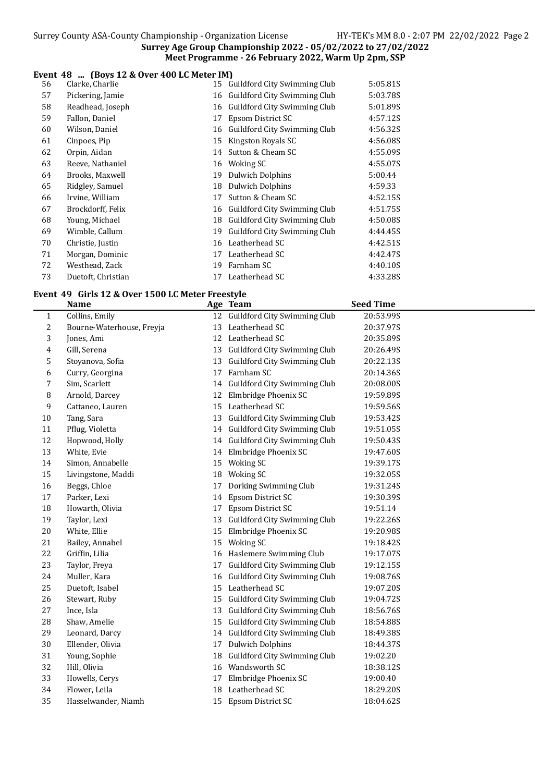### Surrey Age Group Championship 2022 - 05/02/2022 to 27/02/2022 Meet Programme - 26 February 2022, Warm Up 2pm, SSP

#### Event 48 ... (Boys 12 & Over 400 LC Meter IM)

| 56 | Clarke, Charlie    |    | 15 Guildford City Swimming Club | 5:05.81S |
|----|--------------------|----|---------------------------------|----------|
| 57 | Pickering, Jamie   |    | 16 Guildford City Swimming Club | 5:03.78S |
| 58 | Readhead, Joseph   | 16 | Guildford City Swimming Club    | 5:01.89S |
| 59 | Fallon, Daniel     | 17 | Epsom District SC               | 4:57.12S |
| 60 | Wilson, Daniel     | 16 | Guildford City Swimming Club    | 4:56.32S |
| 61 | Cinpoes, Pip       | 15 | Kingston Royals SC              | 4:56.08S |
| 62 | Orpin, Aidan       | 14 | Sutton & Cheam SC               | 4:55.09S |
| 63 | Reeve, Nathaniel   |    | 16 Woking SC                    | 4:55.07S |
| 64 | Brooks, Maxwell    | 19 | <b>Dulwich Dolphins</b>         | 5:00.44  |
| 65 | Ridgley, Samuel    | 18 | Dulwich Dolphins                | 4:59.33  |
| 66 | Irvine, William    | 17 | Sutton & Cheam SC               | 4:52.15S |
| 67 | Brockdorff, Felix  | 16 | Guildford City Swimming Club    | 4:51.75S |
| 68 | Young, Michael     | 18 | Guildford City Swimming Club    | 4:50.08S |
| 69 | Wimble, Callum     | 19 | Guildford City Swimming Club    | 4:44.45S |
| 70 | Christie, Justin   | 16 | Leatherhead SC                  | 4:42.51S |
| 71 | Morgan, Dominic    | 17 | Leatherhead SC                  | 4:42.47S |
| 72 | Westhead, Zack     | 19 | Farnham SC                      | 4:40.10S |
| 73 | Duetoft, Christian |    | 17 Leatherhead SC               | 4:33.28S |

# Event 49 Girls 12 & Over 1500 LC Meter Freestyle

|              | <b>Name</b>               |    | Age Team                        | <b>Seed Time</b> |
|--------------|---------------------------|----|---------------------------------|------------------|
| $\mathbf{1}$ | Collins, Emily            |    | 12 Guildford City Swimming Club | 20:53.99S        |
| 2            | Bourne-Waterhouse, Freyja | 13 | Leatherhead SC                  | 20:37.97S        |
| 3            | Jones, Ami                |    | 12 Leatherhead SC               | 20:35.89S        |
| 4            | Gill, Serena              |    | 13 Guildford City Swimming Club | 20:26.49S        |
| 5            | Stoyanova, Sofia          |    | 13 Guildford City Swimming Club | 20:22.13S        |
| 6            | Curry, Georgina           | 17 | Farnham SC                      | 20:14.36S        |
| 7            | Sim, Scarlett             |    | 14 Guildford City Swimming Club | 20:08.00S        |
| 8            | Arnold, Darcey            | 12 | Elmbridge Phoenix SC            | 19:59.89S        |
| 9            | Cattaneo, Lauren          | 15 | Leatherhead SC                  | 19:59.56S        |
| 10           | Tang, Sara                | 13 | Guildford City Swimming Club    | 19:53.42S        |
| 11           | Pflug, Violetta           |    | 14 Guildford City Swimming Club | 19:51.05S        |
| 12           | Hopwood, Holly            |    | 14 Guildford City Swimming Club | 19:50.43S        |
| 13           | White, Evie               |    | 14 Elmbridge Phoenix SC         | 19:47.60S        |
| 14           | Simon, Annabelle          |    | 15 Woking SC                    | 19:39.17S        |
| 15           | Livingstone, Maddi        |    | 18 Woking SC                    | 19:32.05S        |
| 16           | Beggs, Chloe              | 17 | Dorking Swimming Club           | 19:31.24S        |
| $17\,$       | Parker, Lexi              | 14 | Epsom District SC               | 19:30.39S        |
| 18           | Howarth, Olivia           | 17 | Epsom District SC               | 19:51.14         |
| 19           | Taylor, Lexi              | 13 | Guildford City Swimming Club    | 19:22.26S        |
| 20           | White, Ellie              | 15 | Elmbridge Phoenix SC            | 19:20.98S        |
| 21           | Bailey, Annabel           |    | 15 Woking SC                    | 19:18.42S        |
| 22           | Griffin, Lilia            |    | 16 Haslemere Swimming Club      | 19:17.07S        |
| 23           | Taylor, Freya             | 17 | Guildford City Swimming Club    | 19:12.15S        |
| 24           | Muller, Kara              |    | 16 Guildford City Swimming Club | 19:08.76S        |
| 25           | Duetoft, Isabel           |    | 15 Leatherhead SC               | 19:07.20S        |
| 26           | Stewart, Ruby             |    | 15 Guildford City Swimming Club | 19:04.72S        |
| 27           | Ince, Isla                | 13 | Guildford City Swimming Club    | 18:56.76S        |
| 28           | Shaw, Amelie              | 15 | Guildford City Swimming Club    | 18:54.88S        |
| 29           | Leonard, Darcy            |    | 14 Guildford City Swimming Club | 18:49.38S        |
| 30           | Ellender, Olivia          | 17 | <b>Dulwich Dolphins</b>         | 18:44.37S        |
| 31           | Young, Sophie             | 18 | Guildford City Swimming Club    | 19:02.20         |
| 32           | Hill, Olivia              | 16 | Wandsworth SC                   | 18:38.12S        |
| 33           | Howells, Cerys            | 17 | Elmbridge Phoenix SC            | 19:00.40         |
| 34           | Flower, Leila             | 18 | Leatherhead SC                  | 18:29.20S        |
| 35           | Hasselwander, Niamh       |    | 15 Epsom District SC            | 18:04.62S        |
|              |                           |    |                                 |                  |